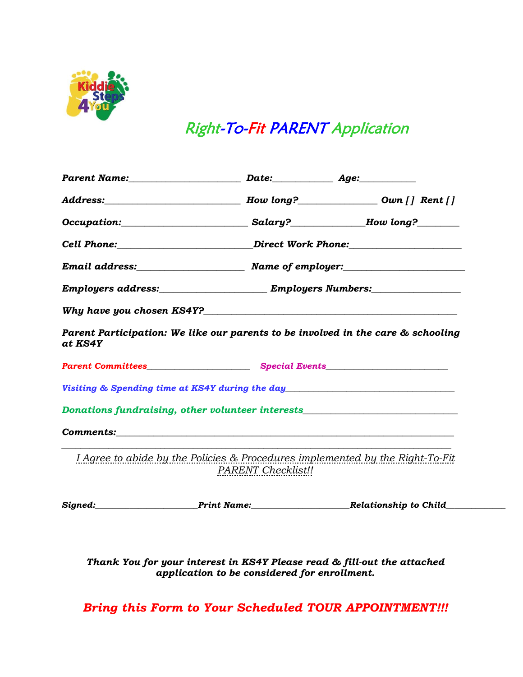

# Right-To-Fit PARENT Application

| Parent Name: Date: Date: Age:                                                                         |                                                                                  |  |
|-------------------------------------------------------------------------------------------------------|----------------------------------------------------------------------------------|--|
|                                                                                                       |                                                                                  |  |
|                                                                                                       |                                                                                  |  |
|                                                                                                       | Cell Phone:____________________________Direct Work Phone:_______________________ |  |
|                                                                                                       |                                                                                  |  |
|                                                                                                       |                                                                                  |  |
|                                                                                                       |                                                                                  |  |
| Parent Participation: We like our parents to be involved in the care & schooling<br>at KS4Y           |                                                                                  |  |
|                                                                                                       |                                                                                  |  |
| Visiting & Spending time at KS4Y during the day <b>State of the Contract of the Contract Official</b> |                                                                                  |  |
| Donations fundraising, other volunteer interests________________________________                      |                                                                                  |  |
|                                                                                                       |                                                                                  |  |
| I Agree to abide by the Policies & Procedures implemented by the Right-To-Fit                         | <b>PARENT</b> Checklist!!                                                        |  |
|                                                                                                       |                                                                                  |  |

*Thank You for your interest in KS4Y Please read & fill-out the attached application to be considered for enrollment.*

*Bring this Form to Your Scheduled TOUR APPOINTMENT!!!*